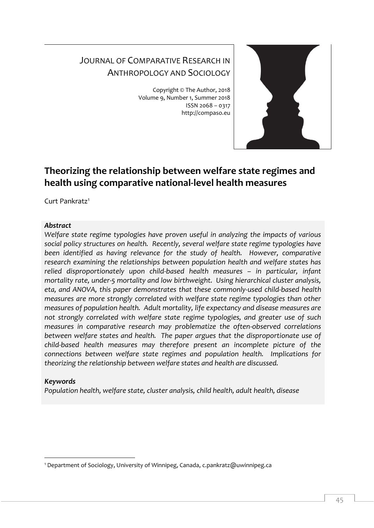# JOURNAL OF COMPARATIVE RESEARCH IN ANTHROPOLOGY AND SOCIOLOGY

Copyright © The Author, 2018 Volume 9, Number 1, Summer 2018 ISSN 2068 – 0317 http://compaso.eu



# **Theorizing the relationship between welfare state regimes and health using comparative national-level health measures**

Curt Pankratz<sup>1</sup>

# *Abstract*

*Welfare state regime typologies have proven useful in analyzing the impacts of various social policy structures on health. Recently, several welfare state regime typologies have been identified as having relevance for the study of health. However, comparative research examining the relationships between population health and welfare states has relied disproportionately upon child-based health measures – in particular, infant mortality rate, under-5 mortality and low birthweight. Using hierarchical cluster analysis, eta, and ANOVA, this paper demonstrates that these commonly-used child-based health measures are more strongly correlated with welfare state regime typologies than other measures of population health. Adult mortality, life expectancy and disease measures are not strongly correlated with welfare state regime typologies, and greater use of such measures in comparative research may problematize the often-observed correlations between welfare states and health. The paper argues that the disproportionate use of child-based health measures may therefore present an incomplete picture of the connections between welfare state regimes and population health. Implications for theorizing the relationship between welfare states and health are discussed.*

# *Keywords*

-

*Population health, welfare state, cluster analysis, child health, adult health, disease* 

<sup>1</sup> Department of Sociology, University of Winnipeg, Canada, c.pankratz@uwinnipeg.ca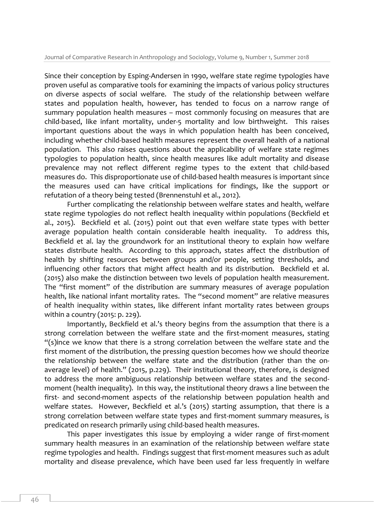Since their conception by Esping-Andersen in 1990, welfare state regime typologies have proven useful as comparative tools for examining the impacts of various policy structures on diverse aspects of social welfare. The study of the relationship between welfare states and population health, however, has tended to focus on a narrow range of summary population health measures – most commonly focusing on measures that are child-based, like infant mortality, under-5 mortality and low birthweight. This raises important questions about the ways in which population health has been conceived, including whether child-based health measures represent the overall health of a national population. This also raises questions about the applicability of welfare state regimes typologies to population health, since health measures like adult mortality and disease prevalence may not reflect different regime types to the extent that child-based measures do. This disproportionate use of child-based health measures is important since the measures used can have critical implications for findings, like the support or refutation of a theory being tested (Brennenstuhl et al., 2012).

Further complicating the relationship between welfare states and health, welfare state regime typologies do not reflect health inequality within populations (Beckfield et al., 2015). Beckfield et al. (2015) point out that even welfare state types with better average population health contain considerable health inequality. To address this, Beckfield et al. lay the groundwork for an institutional theory to explain how welfare states distribute health. According to this approach, states affect the distribution of health by shifting resources between groups and/or people, setting thresholds, and influencing other factors that might affect health and its distribution. Beckfield et al. (2015) also make the distinction between two levels of population health measurement. The "first moment" of the distribution are summary measures of average population health, like national infant mortality rates. The "second moment" are relative measures of health inequality within states, like different infant mortality rates between groups within a country (2015: p. 229).

Importantly, Beckfield et al.'s theory begins from the assumption that there is a strong correlation between the welfare state and the first-moment measures, stating "(s)ince we know that there is a strong correlation between the welfare state and the first moment of the distribution, the pressing question becomes how we should theorize the relationship between the welfare state and the distribution (rather than the onaverage level) of health." (2015, p.229). Their institutional theory, therefore, is designed to address the more ambiguous relationship between welfare states and the secondmoment (health inequality). In this way, the institutional theory draws a line between the first- and second-moment aspects of the relationship between population health and welfare states. However, Beckfield et al.'s (2015) starting assumption, that there is a strong correlation between welfare state types and first-moment summary measures, is predicated on research primarily using child-based health measures.

This paper investigates this issue by employing a wider range of first-moment summary health measures in an examination of the relationship between welfare state regime typologies and health. Findings suggest that first-moment measures such as adult mortality and disease prevalence, which have been used far less frequently in welfare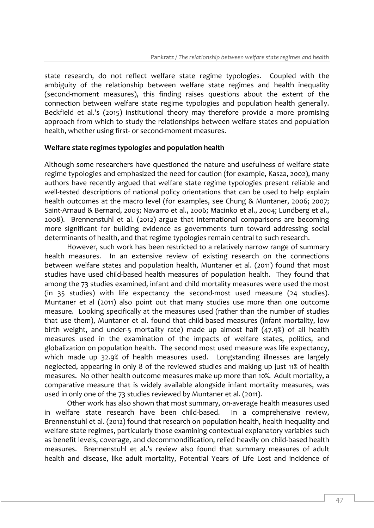state research, do not reflect welfare state regime typologies. Coupled with the ambiguity of the relationship between welfare state regimes and health inequality (second-moment measures), this finding raises questions about the extent of the connection between welfare state regime typologies and population health generally. Beckfield et al.'s (2015) institutional theory may therefore provide a more promising approach from which to study the relationships between welfare states and population health, whether using first- or second-moment measures.

#### **Welfare state regimes typologies and population health**

Although some researchers have questioned the nature and usefulness of welfare state regime typologies and emphasized the need for caution (for example, Kasza, 2002), many authors have recently argued that welfare state regime typologies present reliable and well-tested descriptions of national policy orientations that can be used to help explain health outcomes at the macro level (for examples, see Chung & Muntaner, 2006; 2007; Saint-Arnaud & Bernard, 2003; Navarro et al., 2006; Macinko et al., 2004; Lundberg et al., 2008). Brennenstuhl et al. (2012) argue that international comparisons are becoming more significant for building evidence as governments turn toward addressing social determinants of health, and that regime typologies remain central to such research.

However, such work has been restricted to a relatively narrow range of summary health measures. In an extensive review of existing research on the connections between welfare states and population health, Muntaner et al. (2011) found that most studies have used child-based health measures of population health. They found that among the 73 studies examined, infant and child mortality measures were used the most (in 35 studies) with life expectancy the second-most used measure (24 studies). Muntaner et al (2011) also point out that many studies use more than one outcome measure. Looking specifically at the measures used (rather than the number of studies that use them), Muntaner et al. found that child-based measures (infant mortality, low birth weight, and under-5 mortality rate) made up almost half (47.9%) of all health measures used in the examination of the impacts of welfare states, politics, and globalization on population health. The second most used measure was life expectancy, which made up 32.9% of health measures used. Longstanding illnesses are largely neglected, appearing in only 8 of the reviewed studies and making up just 11% of health measures. No other health outcome measures make up more than 10%. Adult mortality, a comparative measure that is widely available alongside infant mortality measures, was used in only one of the 73 studies reviewed by Muntaner et al. (2011).

Other work has also shown that most summary, on-average health measures used in welfare state research have been child-based. In a comprehensive review, Brennenstuhl et al. (2012) found that research on population health, health inequality and welfare state regimes, particularly those examining contextual explanatory variables such as benefit levels, coverage, and decommondification, relied heavily on child-based health measures. Brennenstuhl et al.'s review also found that summary measures of adult health and disease, like adult mortality, Potential Years of Life Lost and incidence of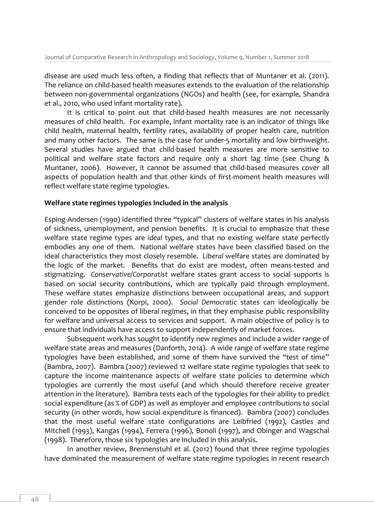disease are used much less often, a finding that reflects that of Muntaner et al. (2011). The reliance on child-based health measures extends to the evaluation of the relationship between non-governmental organizations (NGOs) and health (see, for example, Shandra et al., 2010, who used infant mortality rate).

It is critical to point out that child-based health measures are not necessarily measures of child health. For example, infant mortality rate is an indicator of things like child health, maternal health, fertility rates, availability of proper health care, nutrition and many other factors. The same is the case for under-5 mortality and low birthweight. Several studies have argued that child-based health measures are more sensitive to political and welfare state factors and require only a short lag time (see Chung & Muntaner, 2006). However, it cannot be assumed that child-based measures cover all aspects of population health and that other kinds of first-moment health measures will reflect welfare state regime typologies.

## **Welfare state regimes typologies Included in the analysis**

Esping-Andersen (1990) identified three "typical" clusters of welfare states in his analysis of sickness, unemployment, and pension benefits. It is crucial to emphasize that these welfare state regime types are *ideal* types, and that no existing welfare state perfectly embodies any one of them. National welfare states have been classified based on the ideal characteristics they most closely resemble. *Liberal* welfare states are dominated by the logic of the market. Benefits that do exist are modest, often means-tested and stigmatizing. *Conservative/Corporatist* welfare states grant access to social supports is based on social security contributions, which are typically paid through employment. These welfare states emphasize distinctions between occupational areas, and support gender role distinctions (Korpi, 2000). *Social Democratic* states can ideologically be conceived to be opposites of liberal regimes, in that they emphasise public responsibility for welfare and universal access to services and support. A main objective of policy is to ensure that individuals have access to support independently of market forces.

Subsequent work has sought to identify new regimes and include a wider range of welfare state areas and measures (Danforth, 2014). A wide range of welfare state regime typologies have been established, and some of them have survived the "test of time" (Bambra, 2007). Bambra (2007) reviewed 12 welfare state regime typologies that seek to capture the income maintenance aspects of welfare state policies to determine which typologies are currently the most useful (and which should therefore receive greater attention in the literature). Bambra tests each of the typologies for their ability to predict social expenditure (as % of GDP) as well as employer and employee contributions to social security (in other words, how social expenditure is financed). Bambra (2007) concludes that the most useful welfare state configurations are Leibfried (1992), Castles and Mitchell (1993), Kangas (1994), Ferrera (1996), Bonoli (1997), and Obinger and Wagschal (1998). Therefore, those six typologies are included in this analysis.

In another review, Brennenstuhl et al. (2012) found that three regime typologies have dominated the measurement of welfare state regime typologies in recent research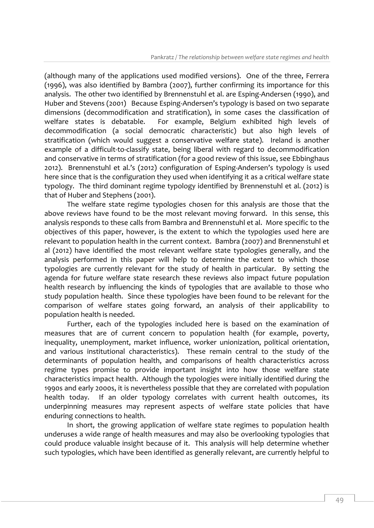(although many of the applications used modified versions). One of the three, Ferrera (1996), was also identified by Bambra (2007), further confirming its importance for this analysis. The other two identified by Brennenstuhl et al. are Esping-Andersen (1990), and Huber and Stevens (2001) Because Esping-Andersen's typology is based on two separate dimensions (decommodification and stratification), in some cases the classification of welfare states is debatable. For example, Belgium exhibited high levels of decommodification (a social democratic characteristic) but also high levels of stratification (which would suggest a conservative welfare state). Ireland is another example of a difficult-to-classify state, being liberal with regard to decommodification and conservative in terms of stratification (for a good review of this issue, see Ebbinghaus 2012). Brennenstuhl et al.'s (2012) configuration of Esping-Andersen's typology is used here since that is the configuration they used when identifying it as a critical welfare state typology. The third dominant regime typology identified by Brennenstuhl et al. (2012) is that of Huber and Stephens (2001).

The welfare state regime typologies chosen for this analysis are those that the above reviews have found to be the most relevant moving forward. In this sense, this analysis responds to these calls from Bambra and Brennenstuhl et al. More specific to the objectives of this paper, however, is the extent to which the typologies used here are relevant to population health in the current context. Bambra (2007) and Brennenstuhl et al (2012) have identified the most relevant welfare state typologies generally, and the analysis performed in this paper will help to determine the extent to which those typologies are currently relevant for the study of health in particular. By setting the agenda for future welfare state research these reviews also impact future population health research by influencing the kinds of typologies that are available to those who study population health. Since these typologies have been found to be relevant for the comparison of welfare states going forward, an analysis of their applicability to population health is needed.

Further, each of the typologies included here is based on the examination of measures that are of current concern to population health (for example, poverty, inequality, unemployment, market influence, worker unionization, political orientation, and various institutional characteristics). These remain central to the study of the determinants of population health, and comparisons of health characteristics across regime types promise to provide important insight into how those welfare state characteristics impact health. Although the typologies were initially identified during the 1990s and early 2000s, it is nevertheless possible that they are correlated with population health today. If an older typology correlates with current health outcomes, its underpinning measures may represent aspects of welfare state policies that have enduring connections to health.

In short, the growing application of welfare state regimes to population health underuses a wide range of health measures and may also be overlooking typologies that could produce valuable insight because of it. This analysis will help determine whether such typologies, which have been identified as generally relevant, are currently helpful to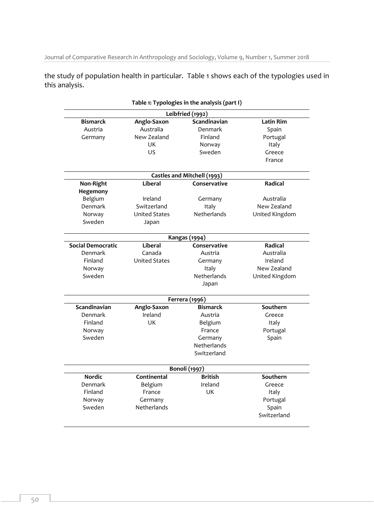Journal of Comparative Research in Anthropology and Sociology, Volume 9, Number 1, Summer 2018

the study of population health in particular. Table 1 shows each of the typologies used in this analysis.

|                          |                        | Table 1: Typologies in the analysis (part I) |                   |  |  |  |
|--------------------------|------------------------|----------------------------------------------|-------------------|--|--|--|
| Leibfried (1992)         |                        |                                              |                   |  |  |  |
| <b>Bismarck</b>          | Anglo-Saxon            | Scandinavian                                 | <b>Latin Rim</b>  |  |  |  |
| Austria                  | Australia              | Denmark                                      | Spain             |  |  |  |
| Germany                  | New Zealand            | Finland                                      | Portugal          |  |  |  |
|                          | UK                     | Norway                                       | Italy             |  |  |  |
|                          | US                     | Sweden                                       | Greece            |  |  |  |
|                          |                        |                                              | France            |  |  |  |
|                          |                        | Castles and Mitchell (1993)                  |                   |  |  |  |
| Non-Right                | <b>Liberal</b>         | Conservative                                 | Radical           |  |  |  |
| Hegemony                 |                        |                                              |                   |  |  |  |
| Belgium                  | Ireland                | Germany                                      | Australia         |  |  |  |
| Denmark                  | Switzerland            | Italy                                        | New Zealand       |  |  |  |
| Norway                   | <b>United States</b>   | Netherlands                                  | United Kingdom    |  |  |  |
| Sweden                   | Japan                  |                                              |                   |  |  |  |
|                          |                        | <b>Kangas</b> (1994)                         |                   |  |  |  |
| <b>Social Democratic</b> | Liberal                | Conservative                                 | Radical           |  |  |  |
| Denmark                  | Canada                 | Austria                                      | Australia         |  |  |  |
| Finland                  | <b>United States</b>   | Germany                                      | Ireland           |  |  |  |
| Norway                   |                        | Italy                                        | New Zealand       |  |  |  |
| Sweden                   |                        | Netherlands                                  | United Kingdom    |  |  |  |
|                          |                        | Japan                                        |                   |  |  |  |
|                          |                        | Ferrera (1996)                               |                   |  |  |  |
| Scandinavian             | Anglo-Saxon            | <b>Bismarck</b>                              | Southern          |  |  |  |
| Denmark                  | Ireland                | Austria                                      | Greece            |  |  |  |
| Finland                  | UK                     | Belgium                                      | Italy             |  |  |  |
| Norway                   |                        | France                                       | Portugal          |  |  |  |
| Sweden                   |                        | Germany                                      | Spain             |  |  |  |
|                          |                        | Netherlands                                  |                   |  |  |  |
|                          |                        | Switzerland                                  |                   |  |  |  |
|                          |                        | <b>Bonoli</b> (1997)                         |                   |  |  |  |
| <b>Nordic</b>            | Continental            | <b>British</b>                               | Southern          |  |  |  |
|                          |                        | Ireland                                      | Greece            |  |  |  |
| Denmark                  | Belgium                |                                              |                   |  |  |  |
| Finland                  | France                 | UK                                           | Italy             |  |  |  |
| Norway                   |                        |                                              |                   |  |  |  |
| Sweden                   | Germany<br>Netherlands |                                              | Portugal<br>Spain |  |  |  |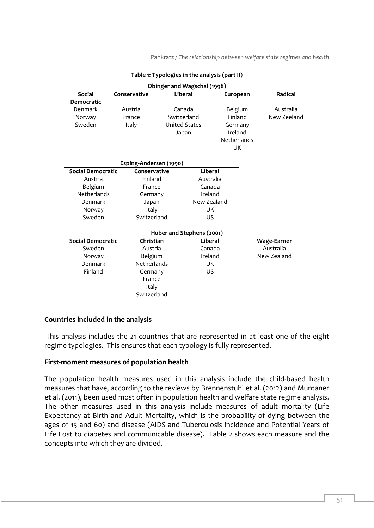Pankratz */ The relationship between welfare state regimes and health*

|                          |                        | Table 1: Typologies in the analysis (part II) |             |                    |
|--------------------------|------------------------|-----------------------------------------------|-------------|--------------------|
|                          |                        | Obinger and Wagschal (1998)                   |             |                    |
| <b>Social</b>            | Conservative           | Liberal                                       | European    | <b>Radical</b>     |
| <b>Democratic</b>        |                        |                                               |             |                    |
| Denmark                  | Austria                | Canada                                        | Belgium     | Australia          |
| Norway                   | France                 | Switzerland                                   | Finland     | New Zeeland        |
| Sweden                   | Italy                  | <b>United States</b>                          | Germany     |                    |
|                          |                        | Japan                                         | Ireland     |                    |
|                          |                        |                                               | Netherlands |                    |
|                          |                        |                                               | UK          |                    |
|                          |                        |                                               |             |                    |
|                          | Esping-Andersen (1990) |                                               |             |                    |
| <b>Social Democratic</b> | Conservative           |                                               | Liberal     |                    |
| Austria                  | Finland                |                                               | Australia   |                    |
| Belgium                  | France                 |                                               | Canada      |                    |
| Netherlands              | Germany                |                                               | Ireland     |                    |
| Denmark                  | Japan                  |                                               | New Zealand |                    |
| Norway                   | Italy                  |                                               | <b>UK</b>   |                    |
| Sweden                   | Switzerland            |                                               | US          |                    |
|                          |                        | Huber and Stephens (2001)                     |             |                    |
| <b>Social Democratic</b> | Christian              |                                               | Liberal     | <b>Wage-Earner</b> |
| Sweden                   | Austria                |                                               | Canada      | Australia          |
| Norway                   | Belgium                |                                               | Ireland     | New Zealand        |
| Denmark                  | Netherlands            |                                               | <b>UK</b>   |                    |
| Finland                  | Germany                |                                               | US          |                    |
|                          | France                 |                                               |             |                    |
|                          | Italy                  |                                               |             |                    |
|                          | Switzerland            |                                               |             |                    |

# **Countries included in the analysis**

This analysis includes the 21 countries that are represented in at least one of the eight regime typologies. This ensures that each typology is fully represented.

# **First-moment measures of population health**

The population health measures used in this analysis include the child-based health measures that have, according to the reviews by Brennenstuhl et al. (2012) and Muntaner et al. (2011), been used most often in population health and welfare state regime analysis. The other measures used in this analysis include measures of adult mortality (Life Expectancy at Birth and Adult Mortality, which is the probability of dying between the ages of 15 and 60) and disease (AIDS and Tuberculosis incidence and Potential Years of Life Lost to diabetes and communicable disease). Table 2 shows each measure and the concepts into which they are divided.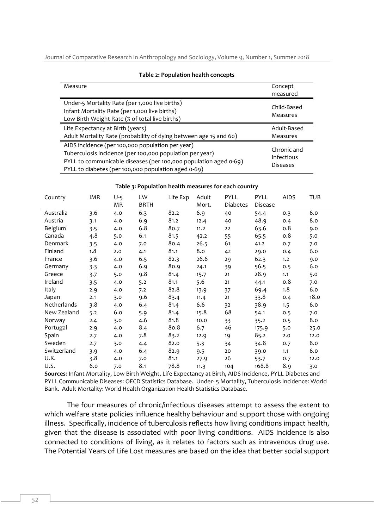Journal of Comparative Research in Anthropology and Sociology, Volume 9, Number 1, Summer 2018

| rapic 2.1 opaiation nearen concepts                               |                               |  |  |  |  |
|-------------------------------------------------------------------|-------------------------------|--|--|--|--|
| Measure                                                           | Concept                       |  |  |  |  |
|                                                                   | measured                      |  |  |  |  |
| Under-5 Mortality Rate (per 1,000 live births)                    | Child-Based                   |  |  |  |  |
| Infant Mortality Rate (per 1,000 live births)                     | Measures                      |  |  |  |  |
| Low Birth Weight Rate (% of total live births)                    |                               |  |  |  |  |
| Life Expectancy at Birth (years)                                  | Adult-Based                   |  |  |  |  |
| Adult Mortality Rate (probability of dying between age 15 and 60) | Measures                      |  |  |  |  |
| AIDS incidence (per 100,000 population per year)                  |                               |  |  |  |  |
| Tuberculosis incidence (per 100,000 population per year)          | Chronic and                   |  |  |  |  |
| PYLL to communicable diseases (per 100,000 population aged 0-69)  | Infectious<br><b>Diseases</b> |  |  |  |  |
| PYLL to diabetes (per 100,000 population aged 0-69)               |                               |  |  |  |  |

#### **Table 2: Population health concepts**

**Table 3: Population health measures for each country**

| Country     | <b>IMR</b> | $U-5$<br>ΜR | LW<br><b>BRTH</b> | Life Exp | Adult<br>Mort. | <b>PYLL</b><br>Diabetes | PYLL<br>Disease | <b>AIDS</b> | TUB  |
|-------------|------------|-------------|-------------------|----------|----------------|-------------------------|-----------------|-------------|------|
| Australia   | 3.6        | 4.0         | 6.3               | 82.2     | 6.9            | 40                      | 54.4            | 0.3         | 6.0  |
| Austria     | 3.1        | 4.0         | 6.9               | 81.2     | 12.4           | 40                      | 48.9            | 0.4         | 8.0  |
| Belgium     | 3.5        | 4.0         | 6.8               | 80.7     | 11.2           | 22                      | 63.6            | 0.8         | 9.0  |
| Canada      | 4.8        | 5.0         | 6.1               | 81.5     | 42.2           | 55                      | 65.5            | 0.8         | 5.0  |
| Denmark     | 3.5        | 4.0         | 7.0               | 80.4     | 26.5           | 61                      | 41.2            | 0.7         | 7.0  |
| Finland     | 1.8        | 2.0         | 4.1               | 81.1     | 8.0            | 42                      | 29.0            | 0.4         | 6.0  |
| France      | 3.6        | 4.0         | 6.5               | 82.3     | 26.6           | 29                      | 62.3            | 1.2         | 9.0  |
| Germany     | 3.3        | 4.0         | 6.9               | 80.9     | 24.1           | 39                      | 56.5            | 0.5         | 6.0  |
| Greece      | 3.7        | 5.0         | 9.8               | 81.4     | 15.7           | 21                      | 28.9            | 1.1         | 5.0  |
| Ireland     | 3.5        | 4.0         | 5.2               | 81.1     | 5.6            | 21                      | 44.1            | 0.8         | 7.0  |
| Italy       | 2.9        | 4.0         | 7.2               | 82.8     | 13.9           | 37                      | 69.4            | 1.8         | 6.0  |
| Japan       | 2.1        | 3.0         | 9.6               | 83.4     | 11.4           | 21                      | 33.8            | 0.4         | 18.0 |
| Netherlands | 3.8        | 4.0         | 6.4               | 81.4     | 6.6            | 32                      | 38.9            | 1.5         | 6.0  |
| New Zealand | 5.2        | 6.0         | 5.9               | 81.4     | 15.8           | 68                      | 54.1            | 0.5         | 7.0  |
| Norway      | 2.4        | 3.0         | 4.6               | 81.8     | 10.0           | 33                      | 35.2            | 0.5         | 8.0  |
| Portugal    | 2.9        | 4.0         | 8.4               | 80.8     | 6.7            | 46                      | 175.9           | 5.0         | 25.0 |
| Spain       | 2.7        | 4.0         | 7.8               | 83.2     | 12.9           | 19                      | 85.2            | 2.0         | 12.0 |
| Sweden      | 2.7        | 3.0         | 4.4               | 82.0     | 5.3            | 34                      | 34.8            | 0.7         | 8.0  |
| Switzerland | 3.9        | 4.0         | 6.4               | 82.9     | 9.5            | 20                      | 39.0            | 1.1         | 6.0  |
| U.K.        | 3.8        | 4.0         | 7.0               | 81.1     | 27.9           | 26                      | 53.7            | 0.7         | 12.0 |
| U.S.        | 6.0        | 7.0         | 8.1               | 78.8     | 11.3           | 104                     | 168.8           | 8.9         | 3.0  |

**Sources**: Infant Mortality, Low Birth Weight, Life Expectancy at Birth, AIDS Incidence, PYLL Diabetes and PYLL Communicable Diseases: OECD Statistics Database. Under- 5 Mortality, Tuberculosis Incidence: World Bank. Adult Mortality: World Health Organization Health Statistics Database.

The four measures of chronic/infectious diseases attempt to assess the extent to which welfare state policies influence healthy behaviour and support those with ongoing illness. Specifically, incidence of tuberculosis reflects how living conditions impact health, given that the disease is associated with poor living conditions. AIDS incidence is also connected to conditions of living, as it relates to factors such as intravenous drug use. The Potential Years of Life Lost measures are based on the idea that better social support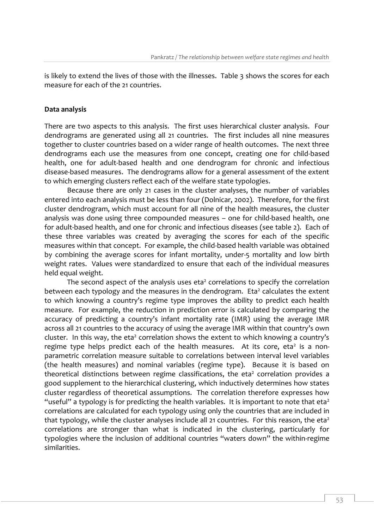is likely to extend the lives of those with the illnesses. Table 3 shows the scores for each measure for each of the 21 countries.

#### **Data analysis**

There are two aspects to this analysis. The first uses hierarchical cluster analysis. Four dendrograms are generated using all 21 countries. The first includes all nine measures together to cluster countries based on a wider range of health outcomes. The next three dendrograms each use the measures from one concept, creating one for child-based health, one for adult-based health and one dendrogram for chronic and infectious disease-based measures. The dendrograms allow for a general assessment of the extent to which emerging clusters reflect each of the welfare state typologies.

Because there are only 21 cases in the cluster analyses, the number of variables entered into each analysis must be less than four (Dolnicar, 2002). Therefore, for the first cluster dendrogram, which must account for all nine of the health measures, the cluster analysis was done using three compounded measures – one for child-based health, one for adult-based health, and one for chronic and infectious diseases (see table 2). Each of these three variables was created by averaging the scores for each of the specific measures within that concept. For example, the child-based health variable was obtained by combining the average scores for infant mortality, under-5 mortality and low birth weight rates. Values were standardized to ensure that each of the individual measures held equal weight.

The second aspect of the analysis uses  $eta<sup>2</sup>$  correlations to specify the correlation between each typology and the measures in the dendrogram. Eta<sup>2</sup> calculates the extent to which knowing a country's regime type improves the ability to predict each health measure. For example, the reduction in prediction error is calculated by comparing the accuracy of predicting a country's infant mortality rate (IMR) using the average IMR across all 21 countries to the accuracy of using the average IMR within that country's own cluster. In this way, the eta<sup>2</sup> correlation shows the extent to which knowing a country's regime type helps predict each of the health measures. At its core, eta<sup>2</sup> is a nonparametric correlation measure suitable to correlations between interval level variables (the health measures) and nominal variables (regime type). Because it is based on theoretical distinctions between regime classifications, the eta<sup>2</sup> correlation provides a good supplement to the hierarchical clustering, which inductively determines how states cluster regardless of theoretical assumptions. The correlation therefore expresses how "useful" a typology is for predicting the health variables. It is important to note that eta<sup>2</sup> correlations are calculated for each typology using only the countries that are included in that typology, while the cluster analyses include all 21 countries. For this reason, the eta<sup>2</sup> correlations are stronger than what is indicated in the clustering, particularly for typologies where the inclusion of additional countries "waters down" the within-regime similarities.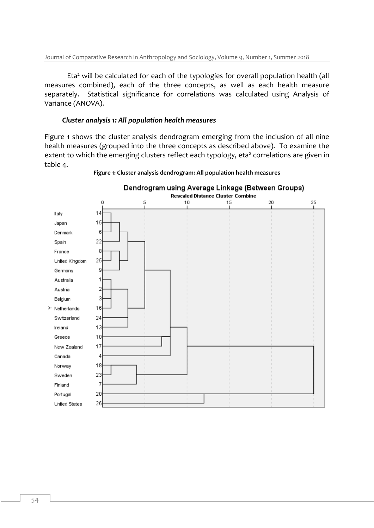Eta<sup>2</sup> will be calculated for each of the typologies for overall population health (all measures combined), each of the three concepts, as well as each health measure separately. Statistical significance for correlations was calculated using Analysis of Variance (ANOVA).

### *Cluster analysis 1: All population health measures*

Figure 1 shows the cluster analysis dendrogram emerging from the inclusion of all nine health measures (grouped into the three concepts as described above). To examine the extent to which the emerging clusters reflect each typology, eta<sup>2</sup> correlations are given in table 4.



#### **Figure 1: Cluster analysis dendrogram: All population health measures**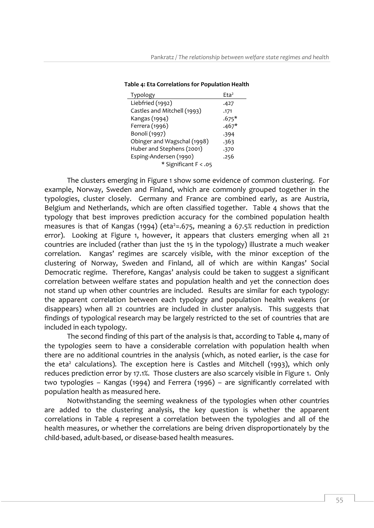| Typology                    | Fta <sup>2</sup> |
|-----------------------------|------------------|
| Liebfried (1992)            | .427             |
| Castles and Mitchell (1993) | .171             |
| Kangas (1994)               | $.675*$          |
| Ferrera (1996)              | $.467*$          |
| Bonoli (1997)               | .394             |
| Obinger and Wagschal (1998) | .363             |
| Huber and Stephens (2001)   | .370             |
| Esping-Andersen (1990)      | .256             |
| * Significant F < .05       |                  |

**Table 4: Eta Correlations for Population Health**

The clusters emerging in Figure 1 show some evidence of common clustering. For example, Norway, Sweden and Finland, which are commonly grouped together in the typologies, cluster closely. Germany and France are combined early, as are Austria, Belgium and Netherlands, which are often classified together. Table 4 shows that the typology that best improves prediction accuracy for the combined population health measures is that of Kangas (1994) (eta<sup>2</sup>=.675, meaning a 67.5% reduction in prediction error). Looking at Figure 1, however, it appears that clusters emerging when all 21 countries are included (rather than just the 15 in the typology) illustrate a much weaker correlation. Kangas' regimes are scarcely visible, with the minor exception of the clustering of Norway, Sweden and Finland, all of which are within Kangas' Social Democratic regime. Therefore, Kangas' analysis could be taken to suggest a significant correlation between welfare states and population health and yet the connection does not stand up when other countries are included. Results are similar for each typology: the apparent correlation between each typology and population health weakens (or disappears) when all 21 countries are included in cluster analysis. This suggests that findings of typological research may be largely restricted to the set of countries that are included in each typology.

The second finding of this part of the analysis is that, according to Table 4, many of the typologies seem to have a considerable correlation with population health when there are no additional countries in the analysis (which, as noted earlier, is the case for the eta<sup>2</sup> calculations). The exception here is Castles and Mitchell (1993), which only reduces prediction error by 17.1%. Those clusters are also scarcely visible in Figure 1. Only two typologies – Kangas (1994) and Ferrera (1996) – are significantly correlated with population health as measured here.

Notwithstanding the seeming weakness of the typologies when other countries are added to the clustering analysis, the key question is whether the apparent correlations in Table 4 represent a correlation between the typologies and all of the health measures, or whether the correlations are being driven disproportionately by the child-based, adult-based, or disease-based health measures.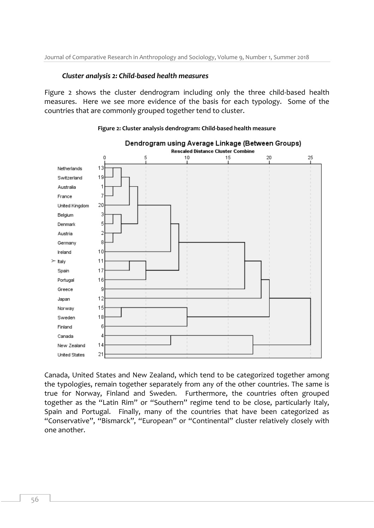#### *Cluster analysis 2: Child-based health measures*

Figure 2 shows the cluster dendrogram including only the three child-based health measures. Here we see more evidence of the basis for each typology. Some of the countries that are commonly grouped together tend to cluster.





Canada, United States and New Zealand, which tend to be categorized together among the typologies, remain together separately from any of the other countries. The same is true for Norway, Finland and Sweden. Furthermore, the countries often grouped together as the "Latin Rim" or "Southern" regime tend to be close, particularly Italy, Spain and Portugal. Finally, many of the countries that have been categorized as "Conservative", "Bismarck", "European" or "Continental" cluster relatively closely with one another.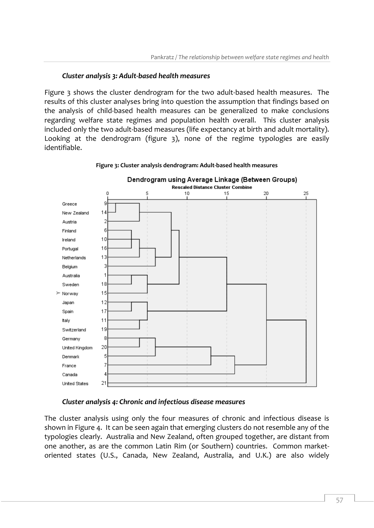# *Cluster analysis 3: Adult-based health measures*

Figure 3 shows the cluster dendrogram for the two adult-based health measures. The results of this cluster analyses bring into question the assumption that findings based on the analysis of child-based health measures can be generalized to make conclusions regarding welfare state regimes and population health overall. This cluster analysis included only the two adult-based measures (life expectancy at birth and adult mortality). Looking at the dendrogram (figure 3), none of the regime typologies are easily identifiable.



#### **Figure 3: Cluster analysis dendrogram: Adult-based health measures**

### *Cluster analysis 4: Chronic and infectious disease measures*

The cluster analysis using only the four measures of chronic and infectious disease is shown in Figure 4. It can be seen again that emerging clusters do not resemble any of the typologies clearly. Australia and New Zealand, often grouped together, are distant from one another, as are the common Latin Rim (or Southern) countries. Common marketoriented states (U.S., Canada, New Zealand, Australia, and U.K.) are also widely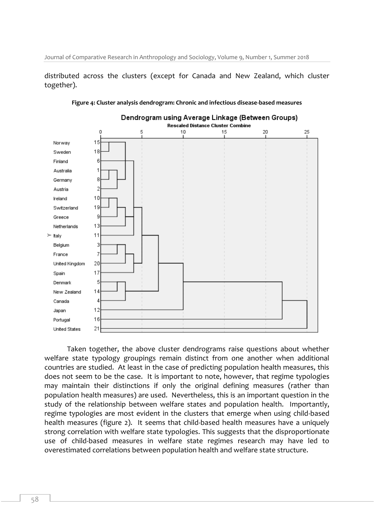distributed across the clusters (except for Canada and New Zealand, which cluster together).



**Figure 4: Cluster analysis dendrogram: Chronic and infectious disease-based measures**

Taken together, the above cluster dendrograms raise questions about whether welfare state typology groupings remain distinct from one another when additional countries are studied. At least in the case of predicting population health measures, this does not seem to be the case. It is important to note, however, that regime typologies may maintain their distinctions if only the original defining measures (rather than population health measures) are used. Nevertheless, this is an important question in the study of the relationship between welfare states and population health. Importantly, regime typologies are most evident in the clusters that emerge when using child-based health measures (figure 2). It seems that child-based health measures have a uniquely strong correlation with welfare state typologies. This suggests that the disproportionate use of child-based measures in welfare state regimes research may have led to overestimated correlations between population health and welfare state structure.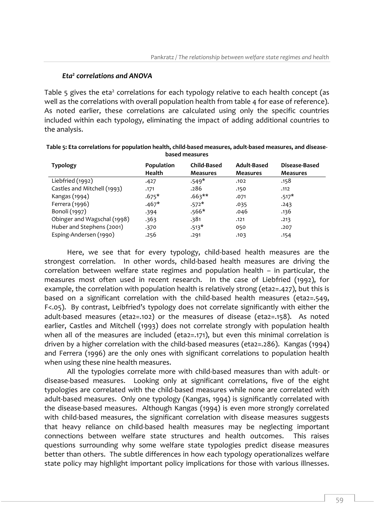# *Eta<sup>2</sup> correlations and ANOVA*

Table 5 gives the eta<sup>2</sup> correlations for each typology relative to each health concept (as well as the correlations with overall population health from table 4 for ease of reference). As noted earlier, these correlations are calculated using only the specific countries included within each typology, eliminating the impact of adding additional countries to the analysis.

| <b>Typology</b>             | Population<br><b>Health</b> | <b>Child-Based</b><br><b>Measures</b> | Adult-Based<br><b>Measures</b> | Disease-Based<br><b>Measures</b> |
|-----------------------------|-----------------------------|---------------------------------------|--------------------------------|----------------------------------|
| Liebfried (1992)            | .427                        | $.549*$                               | .102                           | .158                             |
| Castles and Mitchell (1993) | .171                        | .286                                  | .150                           | .112                             |
| Kangas (1994)               | $.675*$                     | $.663**$                              | .071                           | $.517*$                          |
| Ferrera (1996)              | $.467*$                     | $.572*$                               | .035                           | .243                             |
| Bonoli (1997)               | .394                        | $.566*$                               | .046                           | .136                             |
| Obinger and Wagschal (1998) | .363                        | 381.                                  | .121                           | .213                             |
| Huber and Stephens (2001)   | .370                        | $.513*$                               | 050                            | .207                             |
| Esping-Andersen (1990)      | .256                        | .291                                  | .103                           | .154                             |

| Table 5: Eta correlations for population health, child-based measures, adult-based measures, and disease- |
|-----------------------------------------------------------------------------------------------------------|
| based measures                                                                                            |

Here, we see that for every typology, child-based health measures are the strongest correlation. In other words, child-based health measures are driving the correlation between welfare state regimes and population health – in particular, the measures most often used in recent research. In the case of Liebfried (1992), for example, the correlation with population health is relatively strong (eta2=.427), but this is based on a significant correlation with the child-based health measures (eta2=.549, F<.05). By contrast, Leibfried's typology does not correlate significantly with either the adult-based measures (eta2=.102) or the measures of disease (eta2=.158). As noted earlier, Castles and Mitchell (1993) does not correlate strongly with population health when all of the measures are included (eta2=.171), but even this minimal correlation is driven by a higher correlation with the child-based measures (eta2=.286). Kangas (1994) and Ferrera (1996) are the only ones with significant correlations to population health when using these nine health measures.

All the typologies correlate more with child-based measures than with adult- or disease-based measures. Looking only at significant correlations, five of the eight typologies are correlated with the child-based measures while none are correlated with adult-based measures. Only one typology (Kangas, 1994) is significantly correlated with the disease-based measures. Although Kangas (1994) is even more strongly correlated with child-based measures, the significant correlation with disease measures suggests that heavy reliance on child-based health measures may be neglecting important connections between welfare state structures and health outcomes. This raises questions surrounding why some welfare state typologies predict disease measures better than others. The subtle differences in how each typology operationalizes welfare state policy may highlight important policy implications for those with various illnesses.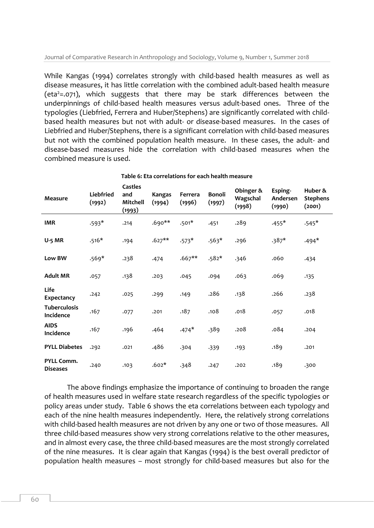While Kangas (1994) correlates strongly with child-based health measures as well as disease measures, it has little correlation with the combined adult-based health measure (eta<sup>2</sup>=.071), which suggests that there may be stark differences between the underpinnings of child-based health measures versus adult-based ones. Three of the typologies (Liebfried, Ferrera and Huber/Stephens) are significantly correlated with childbased health measures but not with adult- or disease-based measures. In the cases of Liebfried and Huber/Stephens, there is a significant correlation with child-based measures but not with the combined population health measure. In these cases, the adult- and disease-based measures hide the correlation with child-based measures when the combined measure is used.

| <b>Measure</b>                   | Liebfried<br>(1992) | Castles<br>and<br>Mitchell<br>(1993) | Kangas<br>(1994) | Ferrera<br>(1996) | <b>Bonoli</b><br>(1997) | Obinger &<br>Wagschal<br>(1998) | Esping-<br>Andersen<br>(1990) | Huber &<br><b>Stephens</b><br>(2001) |
|----------------------------------|---------------------|--------------------------------------|------------------|-------------------|-------------------------|---------------------------------|-------------------------------|--------------------------------------|
| <b>IMR</b>                       | $.593*$             | .214                                 | $.690**$         | $.501*$           | .451                    | .289                            | $.455*$                       | $.545*$                              |
| <b>U-5 MR</b>                    | $.516*$             | .194                                 | $.627**$         | $.573*$           | $.563*$                 | .296                            | $.387*$                       | $.494*$                              |
| Low BW                           | $.569*$             | .238                                 | .474             | $.667**$          | $.582*$                 | .346                            | .060                          | .434                                 |
| <b>Adult MR</b>                  | .057                | .138                                 | .203             | .045              | .094                    | .063                            | .069                          | .135                                 |
| Life<br>Expectancy               | .242                | .025                                 | .299             | .149              | .286                    | .138                            | .266                          | .238                                 |
| <b>Tuberculosis</b><br>Incidence | .167                | .077                                 | .201             | .187              | .108                    | .018                            | .057                          | .018                                 |
| <b>AIDS</b><br>Incidence         | .167                | .196                                 | .464             | $.474*$           | .389                    | .208                            | .084                          | .204                                 |
| <b>PYLL Diabetes</b>             | .292                | .021                                 | .486             | .304              | .339                    | .193                            | .189                          | .201                                 |
| PYLL Comm.<br><b>Diseases</b>    | .240                | .103                                 | $.602*$          | .348              | .247                    | .202                            | .189                          | .300                                 |

**Table 6: Eta correlations for each health measure**

The above findings emphasize the importance of continuing to broaden the range of health measures used in welfare state research regardless of the specific typologies or policy areas under study. Table 6 shows the eta correlations between each typology and each of the nine health measures independently. Here, the relatively strong correlations with child-based health measures are not driven by any one or two of those measures. All three child-based measures show very strong correlations relative to the other measures, and in almost every case, the three child-based measures are the most strongly correlated of the nine measures. It is clear again that Kangas (1994) is the best overall predictor of population health measures – most strongly for child-based measures but also for the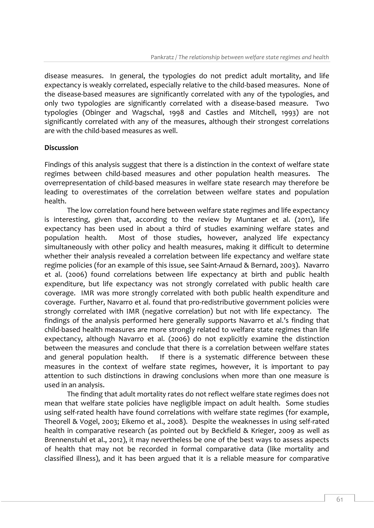disease measures. In general, the typologies do not predict adult mortality, and life expectancy is weakly correlated, especially relative to the child-based measures. None of the disease-based measures are significantly correlated with any of the typologies, and only two typologies are significantly correlated with a disease-based measure. Two typologies (Obinger and Wagschal, 1998 and Castles and Mitchell, 1993) are not significantly correlated with any of the measures, although their strongest correlations are with the child-based measures as well.

# **Discussion**

Findings of this analysis suggest that there is a distinction in the context of welfare state regimes between child-based measures and other population health measures. The overrepresentation of child-based measures in welfare state research may therefore be leading to overestimates of the correlation between welfare states and population health.

The low correlation found here between welfare state regimes and life expectancy is interesting, given that, according to the review by Muntaner et al. (2011), life expectancy has been used in about a third of studies examining welfare states and population health. Most of those studies, however, analyzed life expectancy simultaneously with other policy and health measures, making it difficult to determine whether their analysis revealed a correlation between life expectancy and welfare state regime policies (for an example of this issue, see Saint-Arnaud & Bernard, 2003). Navarro et al. (2006) found correlations between life expectancy at birth and public health expenditure, but life expectancy was not strongly correlated with public health care coverage. IMR was more strongly correlated with both public health expenditure and coverage. Further, Navarro et al. found that pro-redistributive government policies were strongly correlated with IMR (negative correlation) but not with life expectancy. The findings of the analysis performed here generally supports Navarro et al.'s finding that child-based health measures are more strongly related to welfare state regimes than life expectancy, although Navarro et al. (2006) do not explicitly examine the distinction between the measures and conclude that there is a correlation between welfare states and general population health. If there is a systematic difference between these measures in the context of welfare state regimes, however, it is important to pay attention to such distinctions in drawing conclusions when more than one measure is used in an analysis.

The finding that adult mortality rates do not reflect welfare state regimes does not mean that welfare state policies have negligible impact on adult health. Some studies using self-rated health have found correlations with welfare state regimes (for example, Theorell & Vogel, 2003; Eikemo et al., 2008). Despite the weaknesses in using self-rated health in comparative research (as pointed out by Beckfield & Krieger, 2009 as well as Brennenstuhl et al., 2012), it may nevertheless be one of the best ways to assess aspects of health that may not be recorded in formal comparative data (like mortality and classified illness), and it has been argued that it is a reliable measure for comparative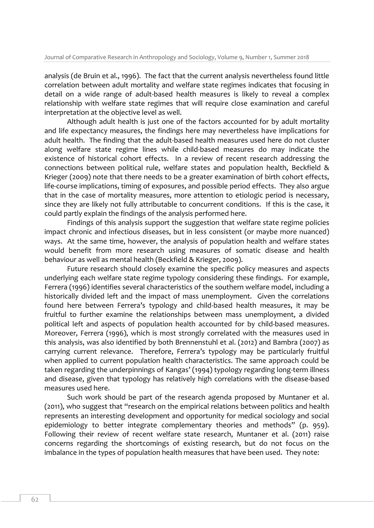analysis (de Bruin et al., 1996). The fact that the current analysis nevertheless found little correlation between adult mortality and welfare state regimes indicates that focusing in detail on a wide range of adult-based health measures is likely to reveal a complex relationship with welfare state regimes that will require close examination and careful interpretation at the objective level as well.

Although adult health is just one of the factors accounted for by adult mortality and life expectancy measures, the findings here may nevertheless have implications for adult health. The finding that the adult-based health measures used here do not cluster along welfare state regime lines while child-based measures do may indicate the existence of historical cohort effects. In a review of recent research addressing the connections between political rule, welfare states and population health, Beckfield & Krieger (2009) note that there needs to be a greater examination of birth cohort effects, life-course implications, timing of exposures, and possible period effects. They also argue that in the case of mortality measures, more attention to etiologic period is necessary, since they are likely not fully attributable to concurrent conditions. If this is the case, it could partly explain the findings of the analysis performed here.

Findings of this analysis support the suggestion that welfare state regime policies impact chronic and infectious diseases, but in less consistent (or maybe more nuanced) ways. At the same time, however, the analysis of population health and welfare states would benefit from more research using measures of somatic disease and health behaviour as well as mental health (Beckfield & Krieger, 2009).

Future research should closely examine the specific policy measures and aspects underlying each welfare state regime typology considering these findings. For example, Ferrera (1996) identifies several characteristics of the southern welfare model, including a historically divided left and the impact of mass unemployment. Given the correlations found here between Ferrera's typology and child-based health measures, it may be fruitful to further examine the relationships between mass unemployment, a divided political left and aspects of population health accounted for by child-based measures. Moreover, Ferrera (1996), which is most strongly correlated with the measures used in this analysis, was also identified by both Brennenstuhl et al. (2012) and Bambra (2007) as carrying current relevance. Therefore, Ferrera's typology may be particularly fruitful when applied to current population health characteristics. The same approach could be taken regarding the underpinnings of Kangas' (1994) typology regarding long-term illness and disease, given that typology has relatively high correlations with the disease-based measures used here.

Such work should be part of the research agenda proposed by Muntaner et al. (2011), who suggest that "research on the empirical relations between politics and health represents an interesting development and opportunity for medical sociology and social epidemiology to better integrate complementary theories and methods" (p. 959). Following their review of recent welfare state research, Muntaner et al. (2011) raise concerns regarding the shortcomings of existing research, but do not focus on the imbalance in the types of population health measures that have been used. They note: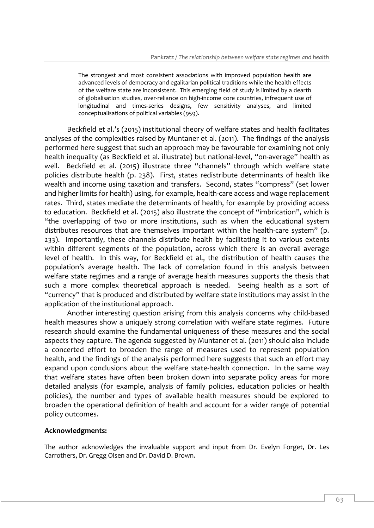The strongest and most consistent associations with improved population health are advanced levels of democracy and egalitarian political traditions while the health effects of the welfare state are inconsistent. This emerging field of study is limited by a dearth of globalisation studies, over-reliance on high-income core countries, infrequent use of longitudinal and times-series designs, few sensitivity analyses, and limited conceptualisations of political variables (959).

Beckfield et al.'s (2015) institutional theory of welfare states and health facilitates analyses of the complexities raised by Muntaner et al. (2011). The findings of the analysis performed here suggest that such an approach may be favourable for examining not only health inequality (as Beckfield et al. illustrate) but national-level, "on-average" health as well. Beckfield et al. (2015) illustrate three "channels" through which welfare state policies distribute health (p. 238). First, states redistribute determinants of health like wealth and income using taxation and transfers. Second, states "compress" (set lower and higher limits for health) using, for example, health-care access and wage replacement rates. Third, states mediate the determinants of health, for example by providing access to education. Beckfield et al. (2015) also illustrate the concept of "imbrication", which is "the overlapping of two or more institutions, such as when the educational system distributes resources that are themselves important within the health-care system" (p. 233). Importantly, these channels distribute health by facilitating it to various extents within different segments of the population, across which there is an overall average level of health. In this way, for Beckfield et al., the distribution of health causes the population's average health. The lack of correlation found in this analysis between welfare state regimes and a range of average health measures supports the thesis that such a more complex theoretical approach is needed. Seeing health as a sort of "currency" that is produced and distributed by welfare state institutions may assist in the application of the institutional approach.

Another interesting question arising from this analysis concerns why child-based health measures show a uniquely strong correlation with welfare state regimes. Future research should examine the fundamental uniqueness of these measures and the social aspects they capture. The agenda suggested by Muntaner et al. (2011) should also include a concerted effort to broaden the range of measures used to represent population health, and the findings of the analysis performed here suggests that such an effort may expand upon conclusions about the welfare state-health connection. In the same way that welfare states have often been broken down into separate policy areas for more detailed analysis (for example, analysis of family policies, education policies or health policies), the number and types of available health measures should be explored to broaden the operational definition of health and account for a wider range of potential policy outcomes.

### **Acknowledgments:**

The author acknowledges the invaluable support and input from Dr. Evelyn Forget, Dr. Les Carrothers, Dr. Gregg Olsen and Dr. David D. Brown.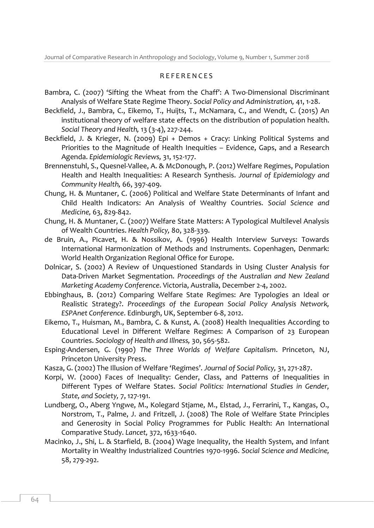## R E F E R E N C E S

- Bambra, C. (2007) 'Sifting the Wheat from the Chaff': A Two-Dimensional Discriminant Analysis of Welfare State Regime Theory. *Social Policy and Administration,* 41, 1-28.
- Beckfield, J., Bambra, C., Eikemo, T., Huijts, T., McNamara, C., and Wendt, C. (2015) An institutional theory of welfare state effects on the distribution of population health. *Social Theory and Health,* 13 (3-4), 227-244.
- Beckfield, J. & Krieger, N. (2009) Epi + Demos + Cracy: Linking Political Systems and Priorities to the Magnitude of Health Inequities – Evidence, Gaps, and a Research Agenda. *Epidemiologic Reviews,* 31, 152-177.
- Brennenstuhl, S., Quesnel-Vallee, A. & McDonough, P. (2012) Welfare Regimes, Population Health and Health Inequalities: A Research Synthesis. *Journal of Epidemiology and Community Health,* 66, 397-409.
- Chung, H. & Muntaner, C. (2006) Political and Welfare State Determinants of Infant and Child Health Indicators: An Analysis of Wealthy Countries. *Social Science and Medicine,* 63, 829-842.
- Chung, H. & Muntaner, C. (2007) Welfare State Matters: A Typological Multilevel Analysis of Wealth Countries. *Health Policy,* 80, 328-339.
- de Bruin, A., Picavet, H. & Nossikov, A. (1996) Health Interview Surveys: Towards International Harmonization of Methods and Instruments. Copenhagen, Denmark: World Health Organization Regional Office for Europe.
- Dolnicar, S. (2002) A Review of Unquestioned Standards in Using Cluster Analysis for Data-Driven Market Segmentation. *Proceedings of the Australian and New Zealand Marketing Academy Conference*. Victoria, Australia, December 2-4, 2002.
- Ebbinghaus, B. (2012) Comparing Welfare State Regimes: Are Typologies an Ideal or Realistic Strategy?. *Proceedings of the European Social Policy Analysis Network, ESPAnet Conference*. Edinburgh, UK, September 6-8, 2012.
- Eikemo, T., Huisman, M., Bambra, C. & Kunst, A. (2008) Health Inequalities According to Educational Level in Different Welfare Regimes: A Comparison of 23 European Countries. *Sociology of Health and Illness,* 30, 565-582.
- Esping-Andersen, G. (1990) *The Three Worlds of Welfare Capitalism*. Princeton, NJ, Princeton University Press.
- Kasza, G. (2002) The Illusion of Welfare 'Regimes'. *Journal of Social Policy,* 31, 271-287.
- Korpi, W. (2000) Faces of Inequality: Gender, Class, and Patterns of Inequalities in Different Types of Welfare States. *Social Politics: International Studies in Gender, State, and Society,* 7, 127-191.
- Lundberg, O., Aberg Yngwe, M., Kolegard Stjame, M., Elstad, J., Ferrarini, T., Kangas, O., Norstrom, T., Palme, J. and Fritzell, J. (2008) The Role of Welfare State Principles and Generosity in Social Policy Programmes for Public Health: An International Comparative Study. *Lancet,* 372, 1633-1640.
- Macinko, J., Shi, L. & Starfield, B. (2004) Wage Inequality, the Health System, and Infant Mortality in Wealthy Industrialized Countries 1970-1996. *Social Science and Medicine,* 58, 279-292.